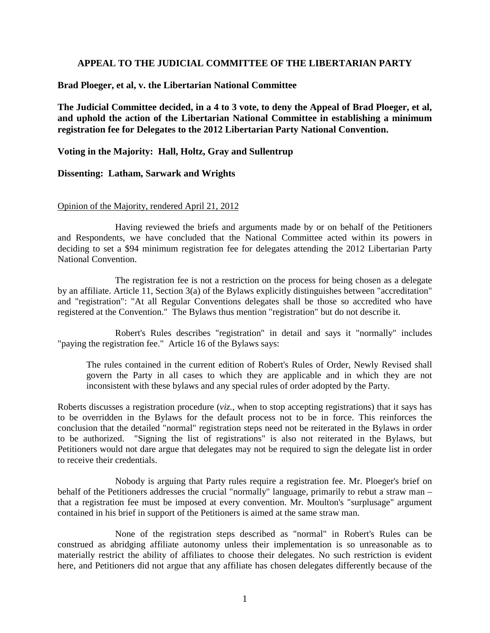## **APPEAL TO THE JUDICIAL COMMITTEE OF THE LIBERTARIAN PARTY**

**Brad Ploeger, et al, v. the Libertarian National Committee** 

**The Judicial Committee decided, in a 4 to 3 vote, to deny the Appeal of Brad Ploeger, et al, and uphold the action of the Libertarian National Committee in establishing a minimum registration fee for Delegates to the 2012 Libertarian Party National Convention.** 

**Voting in the Majority: Hall, Holtz, Gray and Sullentrup** 

### **Dissenting: Latham, Sarwark and Wrights**

#### Opinion of the Majority, rendered April 21, 2012

 Having reviewed the briefs and arguments made by or on behalf of the Petitioners and Respondents, we have concluded that the National Committee acted within its powers in deciding to set a \$94 minimum registration fee for delegates attending the 2012 Libertarian Party National Convention.

The registration fee is not a restriction on the process for being chosen as a delegate by an affiliate. Article 11, Section 3(a) of the Bylaws explicitly distinguishes between "accreditation" and "registration": "At all Regular Conventions delegates shall be those so accredited who have registered at the Convention." The Bylaws thus mention "registration" but do not describe it.

Robert's Rules describes "registration" in detail and says it "normally" includes "paying the registration fee." Article 16 of the Bylaws says:

The rules contained in the current edition of Robert's Rules of Order, Newly Revised shall govern the Party in all cases to which they are applicable and in which they are not inconsistent with these bylaws and any special rules of order adopted by the Party.

Roberts discusses a registration procedure (*viz.*, when to stop accepting registrations) that it says has to be overridden in the Bylaws for the default process not to be in force. This reinforces the conclusion that the detailed "normal" registration steps need not be reiterated in the Bylaws in order to be authorized. "Signing the list of registrations" is also not reiterated in the Bylaws, but Petitioners would not dare argue that delegates may not be required to sign the delegate list in order to receive their credentials.

Nobody is arguing that Party rules require a registration fee. Mr. Ploeger's brief on behalf of the Petitioners addresses the crucial "normally" language, primarily to rebut a straw man – that a registration fee must be imposed at every convention. Mr. Moulton's "surplusage" argument contained in his brief in support of the Petitioners is aimed at the same straw man.

None of the registration steps described as "normal" in Robert's Rules can be construed as abridging affiliate autonomy unless their implementation is so unreasonable as to materially restrict the ability of affiliates to choose their delegates. No such restriction is evident here, and Petitioners did not argue that any affiliate has chosen delegates differently because of the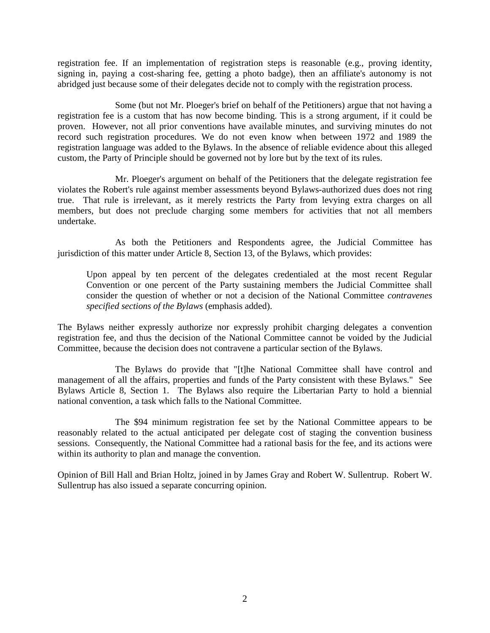registration fee. If an implementation of registration steps is reasonable (e.g., proving identity, signing in, paying a cost-sharing fee, getting a photo badge), then an affiliate's autonomy is not abridged just because some of their delegates decide not to comply with the registration process.

Some (but not Mr. Ploeger's brief on behalf of the Petitioners) argue that not having a registration fee is a custom that has now become binding. This is a strong argument, if it could be proven. However, not all prior conventions have available minutes, and surviving minutes do not record such registration procedures. We do not even know when between 1972 and 1989 the registration language was added to the Bylaws. In the absence of reliable evidence about this alleged custom, the Party of Principle should be governed not by lore but by the text of its rules.

Mr. Ploeger's argument on behalf of the Petitioners that the delegate registration fee violates the Robert's rule against member assessments beyond Bylaws-authorized dues does not ring true. That rule is irrelevant, as it merely restricts the Party from levying extra charges on all members, but does not preclude charging some members for activities that not all members undertake.

As both the Petitioners and Respondents agree, the Judicial Committee has jurisdiction of this matter under Article 8, Section 13, of the Bylaws, which provides:

Upon appeal by ten percent of the delegates credentialed at the most recent Regular Convention or one percent of the Party sustaining members the Judicial Committee shall consider the question of whether or not a decision of the National Committee *contravenes specified sections of the Bylaws* (emphasis added).

The Bylaws neither expressly authorize nor expressly prohibit charging delegates a convention registration fee, and thus the decision of the National Committee cannot be voided by the Judicial Committee, because the decision does not contravene a particular section of the Bylaws.

The Bylaws do provide that "[t]he National Committee shall have control and management of all the affairs, properties and funds of the Party consistent with these Bylaws." See Bylaws Article 8, Section 1. The Bylaws also require the Libertarian Party to hold a biennial national convention, a task which falls to the National Committee.

The \$94 minimum registration fee set by the National Committee appears to be reasonably related to the actual anticipated per delegate cost of staging the convention business sessions. Consequently, the National Committee had a rational basis for the fee, and its actions were within its authority to plan and manage the convention.

Opinion of Bill Hall and Brian Holtz, joined in by James Gray and Robert W. Sullentrup. Robert W. Sullentrup has also issued a separate concurring opinion.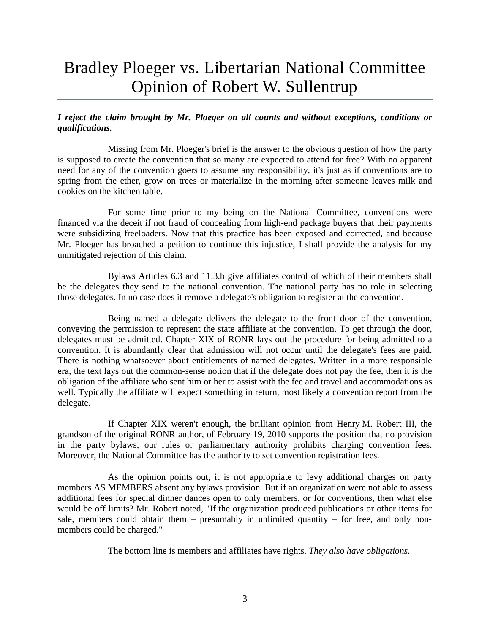# Bradley Ploeger vs. Libertarian National Committee Opinion of Robert W. Sullentrup

### *I reject the claim brought by Mr. Ploeger on all counts and without exceptions, conditions or qualifications.*

Missing from Mr. Ploeger's brief is the answer to the obvious question of how the party is supposed to create the convention that so many are expected to attend for free? With no apparent need for any of the convention goers to assume any responsibility, it's just as if conventions are to spring from the ether, grow on trees or materialize in the morning after someone leaves milk and cookies on the kitchen table.

For some time prior to my being on the National Committee, conventions were financed via the deceit if not fraud of concealing from high-end package buyers that their payments were subsidizing freeloaders. Now that this practice has been exposed and corrected, and because Mr. Ploeger has broached a petition to continue this injustice, I shall provide the analysis for my unmitigated rejection of this claim.

Bylaws Articles 6.3 and 11.3.b give affiliates control of which of their members shall be the delegates they send to the national convention. The national party has no role in selecting those delegates. In no case does it remove a delegate's obligation to register at the convention.

Being named a delegate delivers the delegate to the front door of the convention, conveying the permission to represent the state affiliate at the convention. To get through the door, delegates must be admitted. Chapter XIX of RONR lays out the procedure for being admitted to a convention. It is abundantly clear that admission will not occur until the delegate's fees are paid. There is nothing whatsoever about entitlements of named delegates. Written in a more responsible era, the text lays out the common-sense notion that if the delegate does not pay the fee, then it is the obligation of the affiliate who sent him or her to assist with the fee and travel and accommodations as well. Typically the affiliate will expect something in return, most likely a convention report from the delegate.

If Chapter XIX weren't enough, the brilliant opinion from Henry M. Robert III, the grandson of the original RONR author, of February 19, 2010 supports the position that no provision in the party bylaws, our rules or parliamentary authority prohibits charging convention fees. Moreover, the National Committee has the authority to set convention registration fees.

As the opinion points out, it is not appropriate to levy additional charges on party members AS MEMBERS absent any bylaws provision. But if an organization were not able to assess additional fees for special dinner dances open to only members, or for conventions, then what else would be off limits? Mr. Robert noted, "If the organization produced publications or other items for sale, members could obtain them  $-$  presumably in unlimited quantity  $-$  for free, and only nonmembers could be charged."

The bottom line is members and affiliates have rights. *They also have obligations.*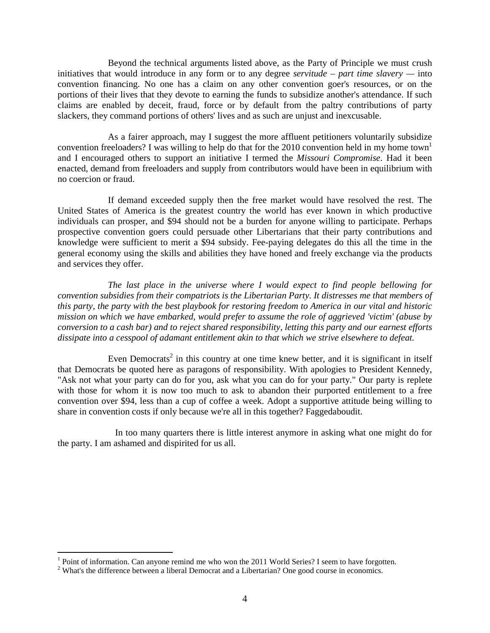Beyond the technical arguments listed above, as the Party of Principle we must crush initiatives that would introduce in any form or to any degree *servitude – part time slavery —* into convention financing. No one has a claim on any other convention goer's resources, or on the portions of their lives that they devote to earning the funds to subsidize another's attendance. If such claims are enabled by deceit, fraud, force or by default from the paltry contributions of party slackers, they command portions of others' lives and as such are unjust and inexcusable.

As a fairer approach, may I suggest the more affluent petitioners voluntarily subsidize convention freeloaders? I was willing to help do that for the 2010 convention held in my home town<sup>1</sup> and I encouraged others to support an initiative I termed the *Missouri Compromise*. Had it been enacted, demand from freeloaders and supply from contributors would have been in equilibrium with no coercion or fraud.

If demand exceeded supply then the free market would have resolved the rest. The United States of America is the greatest country the world has ever known in which productive individuals can prosper, and \$94 should not be a burden for anyone willing to participate. Perhaps prospective convention goers could persuade other Libertarians that their party contributions and knowledge were sufficient to merit a \$94 subsidy. Fee-paying delegates do this all the time in the general economy using the skills and abilities they have honed and freely exchange via the products and services they offer.

*The last place in the universe where I would expect to find people bellowing for convention subsidies from their compatriots is the Libertarian Party. It distresses me that members of this party, the party with the best playbook for restoring freedom to America in our vital and historic mission on which we have embarked, would prefer to assume the role of aggrieved 'victim' (abuse by conversion to a cash bar) and to reject shared responsibility, letting this party and our earnest efforts dissipate into a cesspool of adamant entitlement akin to that which we strive elsewhere to defeat.* 

Even Democrats<sup>2</sup> in this country at one time knew better, and it is significant in itself that Democrats be quoted here as paragons of responsibility. With apologies to President Kennedy, "Ask not what your party can do for you, ask what you can do for your party." Our party is replete with those for whom it is now too much to ask to abandon their purported entitlement to a free convention over \$94, less than a cup of coffee a week. Adopt a supportive attitude being willing to share in convention costs if only because we're all in this together? Faggedaboudit.

In too many quarters there is little interest anymore in asking what one might do for the party. I am ashamed and dispirited for us all.

<sup>&</sup>lt;sup>1</sup> Point of information. Can anyone remind me who won the 2011 World Series? I seem to have forgotten.

 $2$  What's the difference between a liberal Democrat and a Libertarian? One good course in economics.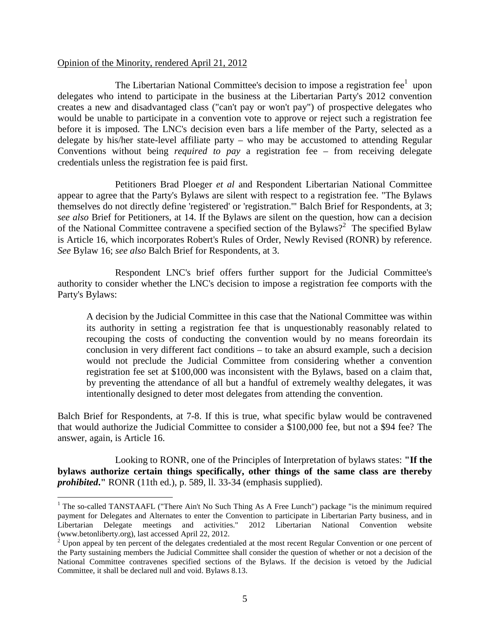### Opinion of the Minority, rendered April 21, 2012

The Libertarian National Committee's decision to impose a registration fee $<sup>1</sup>$  upon</sup> delegates who intend to participate in the business at the Libertarian Party's 2012 convention creates a new and disadvantaged class ("can't pay or won't pay") of prospective delegates who would be unable to participate in a convention vote to approve or reject such a registration fee before it is imposed. The LNC's decision even bars a life member of the Party, selected as a delegate by his/her state-level affiliate party – who may be accustomed to attending Regular Conventions without being *required to pay* a registration fee – from receiving delegate credentials unless the registration fee is paid first.

Petitioners Brad Ploeger *et al* and Respondent Libertarian National Committee appear to agree that the Party's Bylaws are silent with respect to a registration fee. "The Bylaws themselves do not directly define 'registered' or 'registration.'" Balch Brief for Respondents, at 3; *see also* Brief for Petitioners, at 14. If the Bylaws are silent on the question, how can a decision of the National Committee contravene a specified section of the Bylaws?<sup>2</sup> The specified Bylaw is Article 16, which incorporates Robert's Rules of Order, Newly Revised (RONR) by reference. *See* Bylaw 16; *see also* Balch Brief for Respondents, at 3.

Respondent LNC's brief offers further support for the Judicial Committee's authority to consider whether the LNC's decision to impose a registration fee comports with the Party's Bylaws:

A decision by the Judicial Committee in this case that the National Committee was within its authority in setting a registration fee that is unquestionably reasonably related to recouping the costs of conducting the convention would by no means foreordain its conclusion in very different fact conditions – to take an absurd example, such a decision would not preclude the Judicial Committee from considering whether a convention registration fee set at \$100,000 was inconsistent with the Bylaws, based on a claim that, by preventing the attendance of all but a handful of extremely wealthy delegates, it was intentionally designed to deter most delegates from attending the convention.

Balch Brief for Respondents, at 7-8. If this is true, what specific bylaw would be contravened that would authorize the Judicial Committee to consider a \$100,000 fee, but not a \$94 fee? The answer, again, is Article 16.

Looking to RONR, one of the Principles of Interpretation of bylaws states: **"If the bylaws authorize certain things specifically, other things of the same class are thereby**  *prohibited***."** RONR (11th ed.), p. 589, ll. 33-34 (emphasis supplied).

The so-called TANSTAAFL ("There Ain't No Such Thing As A Free Lunch") package "is the minimum required payment for Delegates and Alternates to enter the Convention to participate in Libertarian Party business, and in Libertarian Delegate meetings and activities." 2012 Libertarian National Convention website (www.betonliberty.org), last accessed April 22, 2012.

 $2^{2}$  Upon appeal by ten percent of the delegates credentialed at the most recent Regular Convention or one percent of the Party sustaining members the Judicial Committee shall consider the question of whether or not a decision of the National Committee contravenes specified sections of the Bylaws. If the decision is vetoed by the Judicial Committee, it shall be declared null and void. Bylaws 8.13.